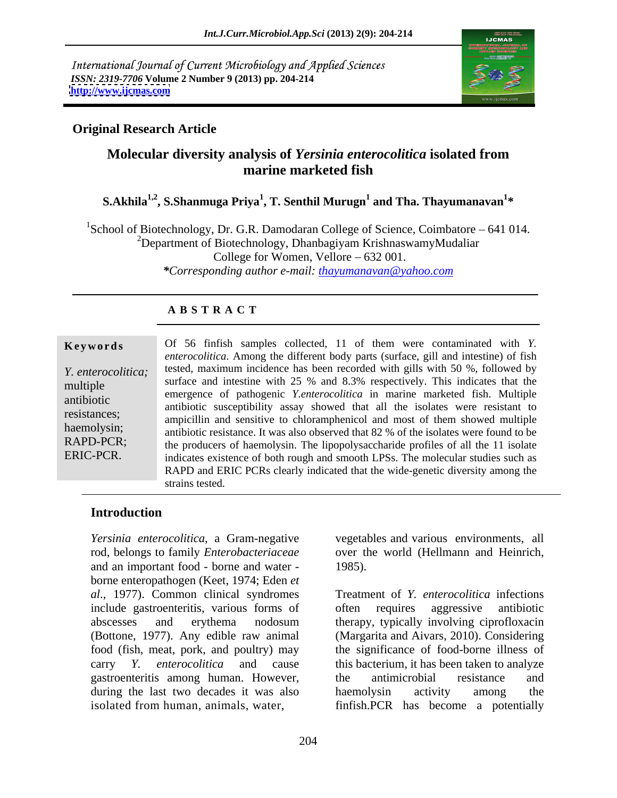International Journal of Current Microbiology and Applied Sciences *ISSN: 2319-7706* **Volume 2 Number 9 (2013) pp. 204-214 <http://www.ijcmas.com>**



# **Original Research Article**

# **Molecular diversity analysis of** *Yersinia enterocolitica* **isolated from marine marketed fish**

### $\boldsymbol{\mathrm{S.Akhila}}^{1,2}, \boldsymbol{\mathrm{S.Sh}}$ anmuga Priya $^1,$  T. Senthil Murugn $^1$  and Tha. Thayumanavan $^{1*}$ **\***

<sup>1</sup>School of Biotechnology, Dr. G.R. Damodaran College of Science, Coimbatore  $-641014$ . <sup>2</sup>Department of Biotechnology, Dhanbagiyam KrishnaswamyMudaliar College for Women, Vellore  $-632001$ . *\*Corresponding author e-mail: thayumanavan@yahoo.com*

## **A B S T R A C T**

**Keywords** Of 56 finfish samples collected, 11 of them were contaminated with *Y*. *Y. enterocolitica*; tested, maximum incidence has been recorded with gills with 50 %, followed by multiple surface and intestine with 25 % and 8.5% respectively. This indicates that the<br>emergence of pathogenic *Y.enterocolitica* in marine marketed fish. Multiple antibiotic emergence of pathogenic *Lemerocoulica* in matrice marketed itsit. Multiple<br>antibiotic susceptibility assay showed that all the isolates were resistant to resistances;<br>ampicillin and sensitive to chloramphenicol and most of them showed multiple haemolysin;<br>antibiotic resistance. It was also observed that 82 % of the isolates were found to be RAPD-PCR; the producers of haemolysin. The lipopolysaccharide profiles of all the 11 isolate ERIC-PCR. indicates existence of both rough and smooth LPSs. The molecular studies such as *enterocolitica*. Among the different body parts (surface, gill and intestine) of fish surface and intestine with 25 % and 8.3% respectively. This indicates that the RAPD and ERIC PCRs clearly indicated that the wide-genetic diversity among the strains tested.

## **Introduction**

*Yersinia enterocolitica*, a Gram-negative vegetables and various environments, all rod, belongs to family *Enterobacteriaceae* over the world (Hellmann and Heinrich, and an important food - borne and water borne enteropathogen (Keet, 1974; Eden *et al*., 1977). Common clinical syndromes include gastroenteritis, various forms of gastroenteritis among human. However, during the last two decades it was also haemolysin activity among the *Xersinia enterocolitica*, a Gram-negative vegetables and various environments, all<br>rod, belongs to family *Enterobacteriaceae* over the world (Hellmann and Heinrich,<br>and an important food - borne and water -<br> $1985$ .<br> $al$ ,

abscesses and erythema nodosum (Bottone, 1977). Any edible raw animal (Margarita and Aivars, 2010). Considering food (fish, meat, pork, and poultry) may be significance of food-borne illness of carry *Y. enterocolitica* and cause this bacterium, it has been taken to analyze 1985). Treatment of *Y. enterocolitica* infections often requires aggressive antibiotic therapy, typically involving ciprofloxacin the antimicrobial resistance and haemolysin activity among the finfish.PCR has become a potentially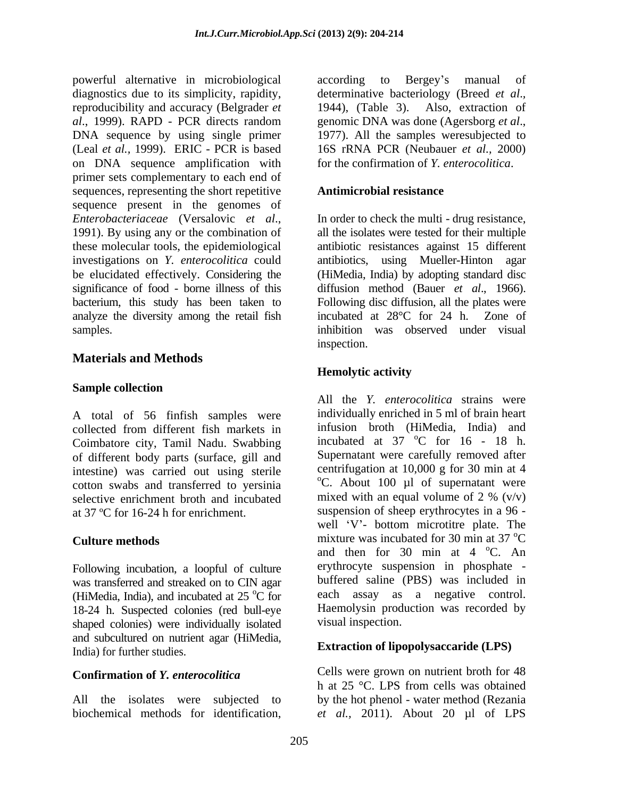powerful alternative in microbiological diagnostics due to its simplicity, rapidity, determinative bacteriology (Breed *et al*.*,* reproducibility and accuracy (Belgrader *et al.*, 1999). RAPD - PCR directs random genomic DNA was done (Agersborg *et al.*, DNA sequence by using single primer 1977). All the samples were subjected to (Leal *et al.,* 1999). ERIC - PCR is based on DNA sequence amplification with primer sets complementary to each end of sequences, representing the short repetitive **Antimicrobial resistance** sequence present in the genomes of *Enterobacteriaceae* (Versalovic *et al.*, In order to check the multi - drug resistance, 1991). By using any or the combination of all the isolates were tested for their multiple these molecular tools, the epidemiological antibiotic resistances against 15 different investigations on *Y. enterocolitica* could antibiotics, using Mueller-Hinton agar be elucidated effectively. Considering the (HiMedia, India) by adopting standard disc significance of food - borne illness of this diffusion method (Bauer et al., 1966). bacterium, this study has been taken to Following disc diffusion, all the plates were analyze the diversity among the retail fish incubated at 28 °C for 24 h. Zone of

# **Materials and Methods**

## **Sample collection**

A total of 56 finfish samples were collected from different fish markets in Coimbatore city, Tamil Nadu. Swabbing of different body parts (surface, gill and intestine) was carried out using sterile cotton swabs and transferred to yersinia  $\degree$ C. About 100 µl of supernatant were selective enrichment broth and incubated mixed with an equal volume of 2 % (v/v) selective enrichment broth and incubated

Following incubation, a loopful of culture was transferred and streaked on to CIN agar (HiMedia, India), and incubated at  $25\text{ °C}$  for 18-24 h. Suspected colonies (red bull-eye shaped colonies) were individually isolated and subcultured on nutrient agar (HiMedia, India) for further studies.

All the isolates were subjected to

according to Bergey's 1944), (Table 3). Also, extraction of genomic DNA was done (Agersborg *et al*., 1977). All the samples weresubjected to 16S rRNA PCR (Neubauer *et al.,* 2000) for the confirmation of *Y. enterocolitica*.

### **Antimicrobial resistance**

samples. inhibition was observed under visual In order to check the multi - drug resistance, all the isolates were tested for their multiple diffusion method (Bauer *et al.*, 1966).<br>Following disc diffusion, all the plates were incubated at 28°C for 24 h. Zone of inspection.

## **Hemolytic activity**

at 37 ºC for 16-24 h for enrichment. suspension of sheep erythrocytes in a 96 - **Culture methods** mixture was incubated for 30 min at 37 °C  $^{\circ}$ C for each assay as a negative control. All the *Y. enterocolitica* strains were individually enriched in 5 ml of brain heart infusion broth (HiMedia, India) and incubated at  $37 \text{ °C}$  for  $16 - 18$  h.  $^{\circ}$ C for 16 - 18 h. Supernatant were carefully removed after centrifugation at 10,000 g for 30 min at 4  $^{\circ}$ C. About 100 µl of supernatant were mixed with an equal volume of 2 %  $(v/v)$ well 'V'- bottom microtitre plate. The <sup>o</sup>C and then for 30 min at  $4^{\circ}$ C. An  $^{\circ}$ C. An erythrocyte suspension in phosphate buffered saline (PBS) was included in Haemolysin production was recorded by visual inspection.

## **Extraction of lipopolysaccaride (LPS)**

**Confirmation of** *Y. enterocolitica*<br>b at 25 °C. LPS from cells was obtained biochemical methods for identification, *et al.,* 2011). About 20 µl of LPSCells were grown on nutrient broth for 48 h at 25 °C. LPS from cells was obtained by the hot phenol - water method (Rezania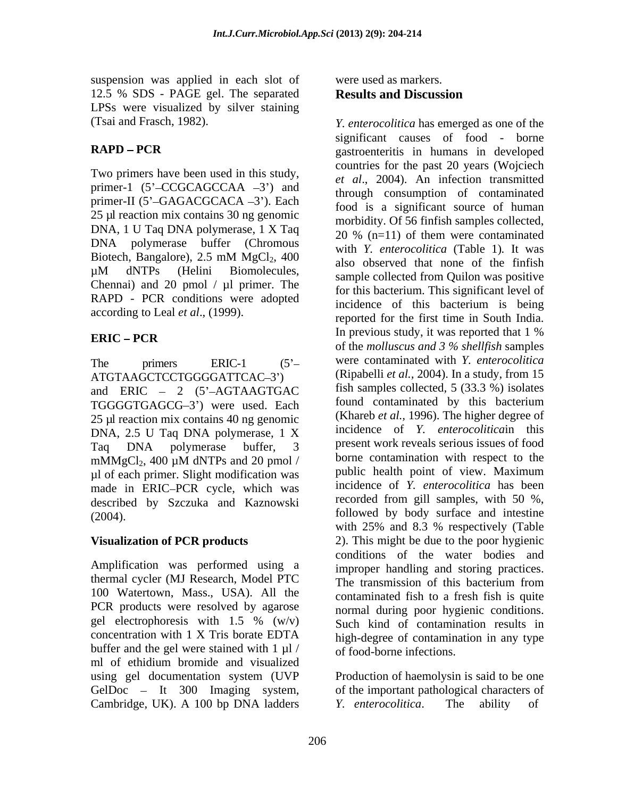suspension was applied in each slot of 12.5 % SDS - PAGE gel. The separated Results and Discussion LPSs were visualized by silver staining (Tsai and Frasch, 1982). *Y. enterocolitica* has emerged as one of the

Two primers have been used in this study, primer-1  $(5'-CCGCAGCCAA -3')$  and primer-II (5'-GAGACGCACA -3'). Each 25 µl reaction mix contains 30 ng genomic DNA, 1 U Taq DNA polymerase, 1 X Taq DNA polymerase buffer (Chromous Chennai) and 20 pmol  $/ \mu$ l primer. The RAPD - PCR conditions were adopted according to Leal *et al*., (1999).

ATGTAAGCTCCTGGGGATTCAC-3') and ERIC  $-2$  (5 $^{\circ}$ -AGTAAGTGAC TGGGGTGAGCG-3') were used. Each 25 µl reaction mix contains 40 ng genomic DNA, 2.5 U Taq DNA polymerase, 1 X µl of each primer. Slight modification was made in ERIC-PCR cycle, which was described by Szczuka and Kaznowski

Amplification was performed using a 100 Watertown, Mass., USA). All the PCR products were resolved by agarose concentration with 1 X Tris borate EDTA buffer and the gel were stained with  $1 \mu l$ ml of ethidium bromide and visualized using gel documentation system (UVP Production of haemolysin is said to be one GelDoc - It 300 Imaging system, Cambridge, UK). A 100 bp DNA ladders Y. enterocolitica. The ability of

# were used as markers. **Results and Discussion**

**RAPD PCR** gastroenteritis in humans in developed Biotech, Bangalore),  $2.5 \text{ mM } MgCl_2$ ,  $400 \text{ also observed that none of the finish}$  $\mu$ M dNTPs (Helini Biomolecules, and collected from Oujlon was positive **ERIC** – **PCR ERIC** – **PCR ERIC** – **PCR ERIC** – **PCR ERIC** – **PCR EXICAL III EXICAL III EXICAL III EXICAL III EXICAL III EXICAL III EXICAL III EXICAL III EXICAL III EXICAL III EXICAL III EXI** The primers ERIC-1 (5 were contaminated with *Y. enterocolitica* Taq DNA polymerase buffer, 3 present work reveals serious issues of food  $mMmgCl<sub>2</sub>$ , 400  $\mu$ M dNTPs and 20 pmol / borne contamination with respect to the (2004). followed by body surface and intestine **Visualization of PCR products** 2). This might be due to the poor hygienic thermal cycler (MJ Research, Model PTC The transmission of this bacterium from gel electrophoresis with 1.5 %  $(w/v)$  Such kind of contamination results in significant causes of food - borne countries for the past 20 years (Wojciech *et al*., 2004). An infection transmitted through consumption of contaminated food is a significant source of human morbidity. Of 56 finfish samples collected, 20 % (n=11) of them were contaminated with *Y. enterocolitica* (Table 1)*.* It was also observed that none of the finfish sample collected from Quilon was positive for this bacterium. This significant level of incidence of this bacterium is being reported for the first time in South India. In previous study, it was reported that 1 % of the *molluscus and 3 % shellfish* samples (Ripabelli *et al.,* 2004). In a study, from 15 fish samples collected, 5 (33.3 %) isolates found contaminated by this bacterium (Khareb *et al.,* 1996). The higher degree of incidence of *Y. enterocolitica*in this present work reveals serious issues of food borne contamination with respect to the public health point of view. Maximum incidence of *Y. enterocolitica* has been recorded from gill samples, with 50 %, with 25% and 8.3 % respectively (Table conditions of the water bodies and improper handling and storing practices. contaminated fish to a fresh fish is quite normal during poor hygienic conditions. Such kind of contamination results in high-degree of contamination in any type of food-borne infections.

> of the important pathological characters of *Y. enterocolitica.*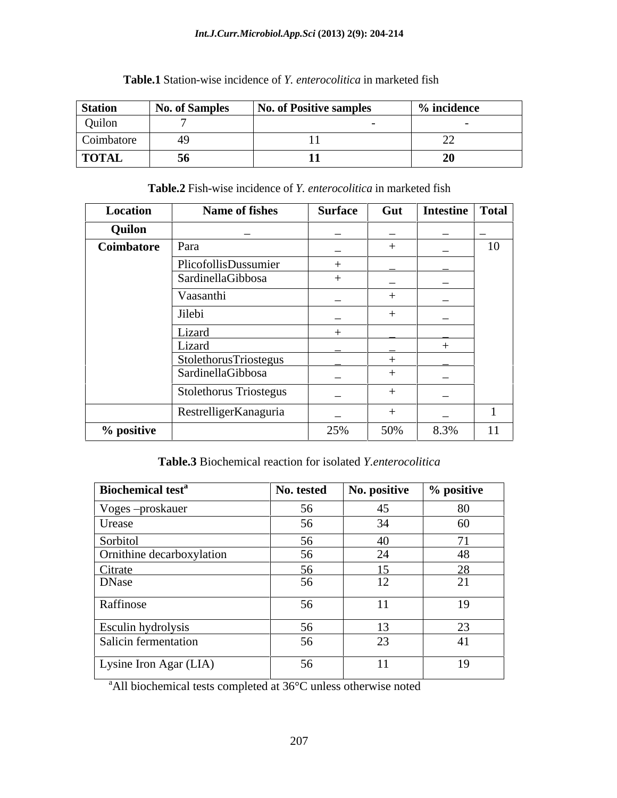### *Int.J.Curr.Microbiol.App.Sci* **(2013) 2(9): 204-214**

| <b>Station</b>               | <b>No. of Samples</b> | No. of Positive samples | $%$ incidence |
|------------------------------|-----------------------|-------------------------|---------------|
| Quilon                       |                       |                         |               |
| $\sim$ $\cdot$<br>Coimbatore |                       |                         | ---           |
| <b>TOTAL</b>                 | $\cdot$               |                         | $ -$          |

# **Table.1** Station-wise incidence of *Y. enterocolitica* in marketed fish

**Table.2** Fish-wise incidence of *Y. enterocolitica* in marketed fish

| <b>Location</b> | Name of fishes         | <b>Surface</b>           |                          | Gut   Intestine   Total        |
|-----------------|------------------------|--------------------------|--------------------------|--------------------------------|
| Quilon          | $\sim$ $-$             | $\overline{\phantom{0}}$ | $\overline{\phantom{0}}$ | $\sim$<br>$\sim$ $\sim$ $\sim$ |
| Coimbatore Para |                        | $\overline{\phantom{0}}$ |                          | 10                             |
|                 | PlicofollisDussumier   |                          | ______                   |                                |
|                 | SardinellaGibbosa      |                          | $\overline{\phantom{a}}$ |                                |
|                 | Vaasanthi              |                          |                          |                                |
|                 | Jilebi                 | $\overline{\phantom{0}}$ |                          |                                |
|                 | Lizaro                 |                          |                          |                                |
|                 | Lizard                 |                          | _______                  |                                |
|                 | StolethorusTriostegus  |                          |                          |                                |
|                 | SardinellaGibbosa      | $\sim$ $\sim$            |                          |                                |
|                 | Stolethorus Triostegus | $\sim$                   |                          |                                |
|                 | RestrelligerKanaguria  | $\overline{\phantom{a}}$ |                          |                                |
| % positive      |                        | 25%                      | 50%                      | 8.3%<br>$-4 - 4$               |

**Table.3** Biochemical reaction for isolated *Y.enterocolitica*

| <b>Biochemical test<sup>a</sup></b> | No. tested | No. positive | % positive   |
|-------------------------------------|------------|--------------|--------------|
| Voges-proskauer                     | 56         | 45           | 80           |
| Urease                              | 56         | 34           | 60           |
| Sorbitol                            | 56         | 40           | $\mathbf{r}$ |
| <b>Ornithine decarboxylation</b>    | 56         | 24           | 48           |
| Citrate                             | 56         | 15           | 28           |
| DNase                               | 56         | 12           | 21           |
| Raffinose                           | 56         |              | 19           |
| Esculin hydrolysis                  | 56         | 12           | $2^{\circ}$  |
| Salicin fermentation                | 56         | 23           | 41           |
| Lysine Iron Agar (LIA)              | 56         | $\pm$        | 19           |

<sup>a</sup>All biochemical tests completed at 36°C unless otherwise noted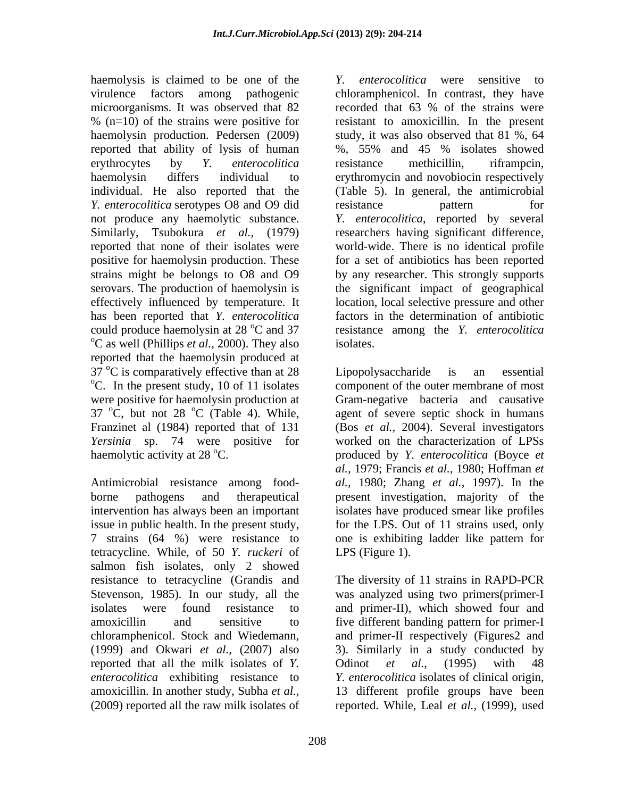haemolysis is claimed to be one of the  $Y$ . microorganisms. It was observed that 82 ecorded that 63 % of the strains were *Y. enterocolitica* serotypes O8 and O9 did resistance pattern for has been reported that *Y. enterocolitica* <sup>o</sup>C as well (Phillips *et al.*, 2000). They also isolates. reported that the haemolysin produced at  $37^{\circ}$ C is comparatively effective than at 28 Lipopolysaccharide is an essential  $\degree$ C. In the present study, 10 of 11 isolates component of the outer membrane of most were positive for haemolysin production at Gram-negative bacteria and causative 37  $\rm{^{\circ}C}$ , but not 28  $\rm{^{\circ}C}$  (Table 4). While, agent of severe septic shock in humans Franzinet al (1984) reported that of 131 (Bos *et al.,* 2004). Several investigators *Yersinia* sp. 74 were positive for haemolytic activity at 28 °C. haemolytic activity at 28 °C. The produced by *Y. enterocolitica* (Boyce *et*  $\theta$ 

tetracycline. While, of 50 *Y. ruckeri* of salmon fish isolates, only 2 showed resistance to tetracycline (Grandis and reported that all the milk isolates of *Y*. Odinot *et al.*, (1995) with 48 *enterocolitica* exhibiting resistance to *Y. enterocolitica* isolates of clinical origin, amoxicillin. In another study, Subha *et al.,* (2009) reported all the raw milk isolates of reported. While, Leal *et al.,* (1999), used

virulence factors among pathogenic chloramphenicol. In contrast, they have % (n=10) of the strains were positive for resistant to amoxicillin. In the present haemolysin production. Pedersen (2009) study, it was also observed that 81 %, 64 reported that ability of lysis of human %, 55% and 45 % isolates showed erythrocytes by *Y. enterocolitica* haemolysin differs individual to erythromycin and novobiocin respectively individual. He also reported that the (Table 5). In general, the antimicrobial not produce any haemolytic substance. *Y. enterocolitica*, reported by several Similarly, Tsubokura *et al.,* (1979) researchers having significant difference, reported that none of their isolates were world-wide. There is no identical profile positive for haemolysin production. These for a set of antibiotics has been reported strains might be belongs to O8 and O9 by any researcher. This strongly supports serovars. The production of haemolysin is the significant impact of geographical effectively influenced by temperature. It location, local selective pressure and other could produce haemolysin at 28 °C and 37 aresistance among the *Y. enterocolitica enterocolitica* were sensitive to recorded that 63 % of the strains were resistance methicillin, riframpcin, resistance pattern for factors in the determination of antibiotic isolates.

Antimicrobial resistance among food- *al.,* 1980; Zhang *et al.,* 1997). In the borne pathogens and therapeutical present investigation, majority of the intervention has always been an important isolates have produced smear like profiles issue in public health. In the present study, for the LPS. Out of 11 strains used, only 7 strains (64 %) were resistance to one is exhibiting ladder like pattern for Lipopolysaccharide is an essential component of the outer membrane of most worked on the characterization of LPSs *al.,* 1979; Francis *et al.,* 1980; Hoffman *et*  LPS (Figure 1).

Stevenson, 1985). In our study, all the was analyzed using two primers(primer-I isolates were found resistance to and primer-II), which showed four and amoxicillin and sensitive to five different banding pattern for primer-I chloramphenicol. Stock and Wiedemann, and primer-II respectively (Figures2 and (1999) and Okwari *et al.,* (2007) also 3). Similarly in a study conducted by The diversity of 11 strains in RAPD-PCR Odinot *et al.,* (1995) with 48 *Y. enterocolitica* isolates of clinical origin, 13 different profile groups have been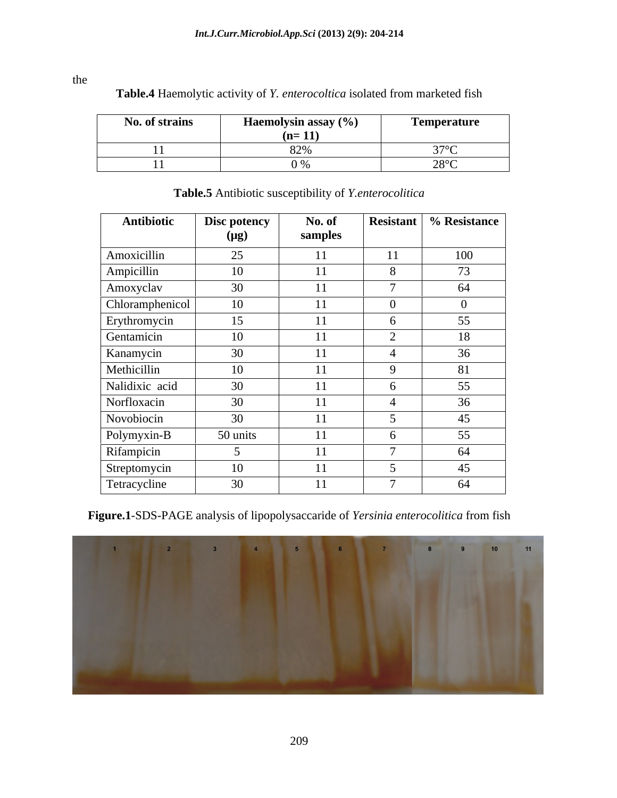| $\mathbf{v}$<br>No. of strains | Haemo<br>olvsin assav (%<br>$(n=11)$ | Temperature<br>$\blacksquare$ . The contract of the contract of the contract of the contract of the contract of the contract of the contract of the contract of the contract of the contract of the contract of the contract of the contract of the |
|--------------------------------|--------------------------------------|-----------------------------------------------------------------------------------------------------------------------------------------------------------------------------------------------------------------------------------------------------|
| . .                            | $\bigcap_{n=1}^{\infty}$             |                                                                                                                                                                                                                                                     |
|                                | $\sim$ $\sim$ $\sim$                 | $\sim$ $\sim$ $\sim$<br>___                                                                                                                                                                                                                         |

| Table.4 Haemolytic activity of Y. enterocoltica isolated from marketed fish |  |  |
|-----------------------------------------------------------------------------|--|--|
|-----------------------------------------------------------------------------|--|--|

| Antibiotic      | Disc potency<br>$(\mu g)$ | No. of<br>samples | Resistant      | % Resistance   |
|-----------------|---------------------------|-------------------|----------------|----------------|
| Amoxicillin     | 25                        | 11                | 11             | 100            |
| Ampicillin      | 10                        | 11                | 8              | 73             |
| Amoxyclav       | 30                        | 11                | $\overline{ }$ | 64             |
| Chloramphenicol | 10                        | 11                | $\overline{0}$ | $\overline{0}$ |
| Erythromycin    | 15                        | 11                | $\sigma$       | 55             |
| Gentamicin      | 10                        | 11                |                | 18             |
| Kanamycin       | 30                        | 11                |                | 36             |
| Methicillin     | 10                        | 11                | $\mathbf Q$    | 81             |
| Nalidixic acid  | 30                        | 11                | $\mathfrak{b}$ | 55             |
| Norfloxacin     | 30                        | 11                |                | 36             |
| Novobiocin      | 30                        | 11                |                | 45             |
| Polymyxin-B     | 50 units                  | 11                | $\sigma$       | 55             |
| Rifampicin      |                           | 11                |                | 64             |
| Streptomycin    | 10                        | 11                |                | 45             |
| Tetracycline    | 30                        | 11                |                | 64             |

# **Table.5** Antibiotic susceptibility of *Y.enterocolitica*

**Figure.1**-SDS-PAGE analysis of lipopolysaccaride of *Yersinia enterocolitica* from fish



the state of the state of the state of the state of the state of the state of the state of the state of the state of the state of the state of the state of the state of the state of the state of the state of the state of t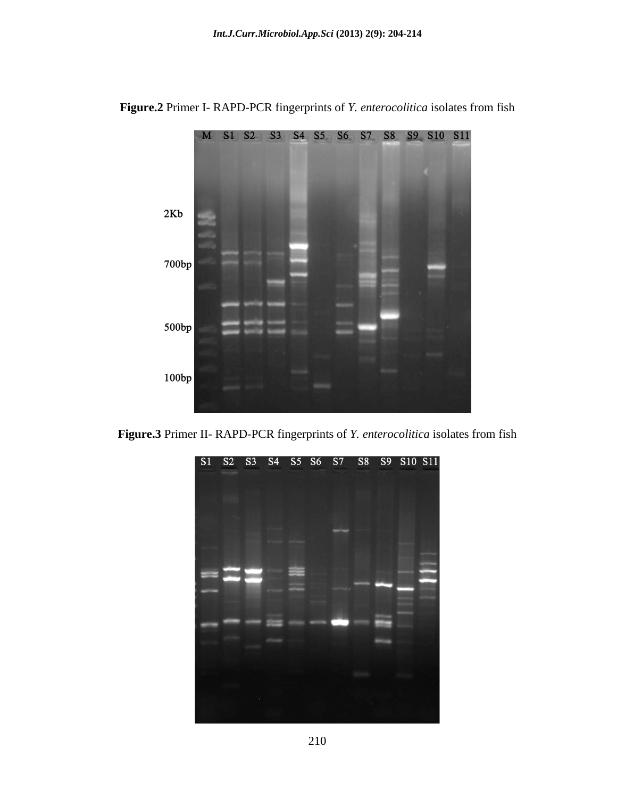

**Figure.2** Primer I- RAPD-PCR fingerprints of *Y. enterocolitica* isolates from fish



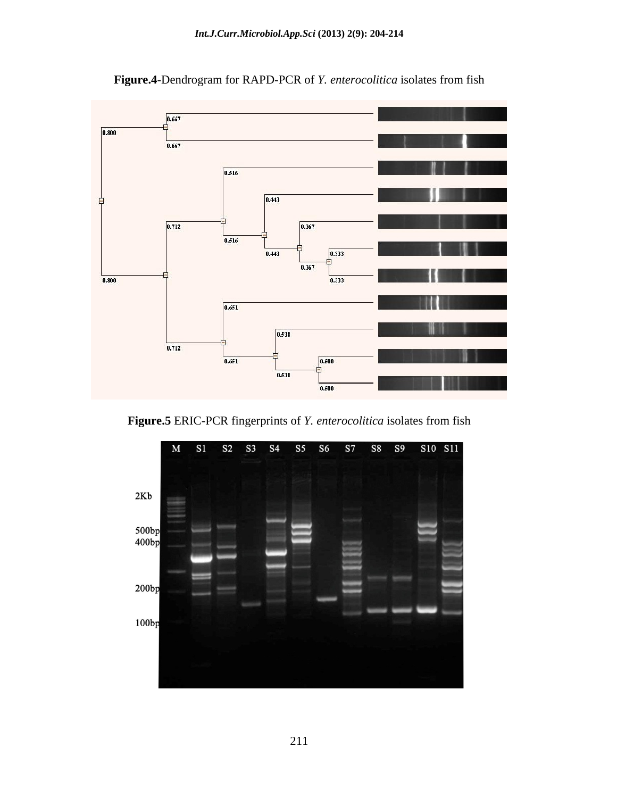

**Figure.4**-Dendrogram for RAPD-PCR of *Y. enterocolitica* isolates from fish

**Figure.5** ERIC-PCR fingerprints of *Y. enterocolitica* isolates from fish

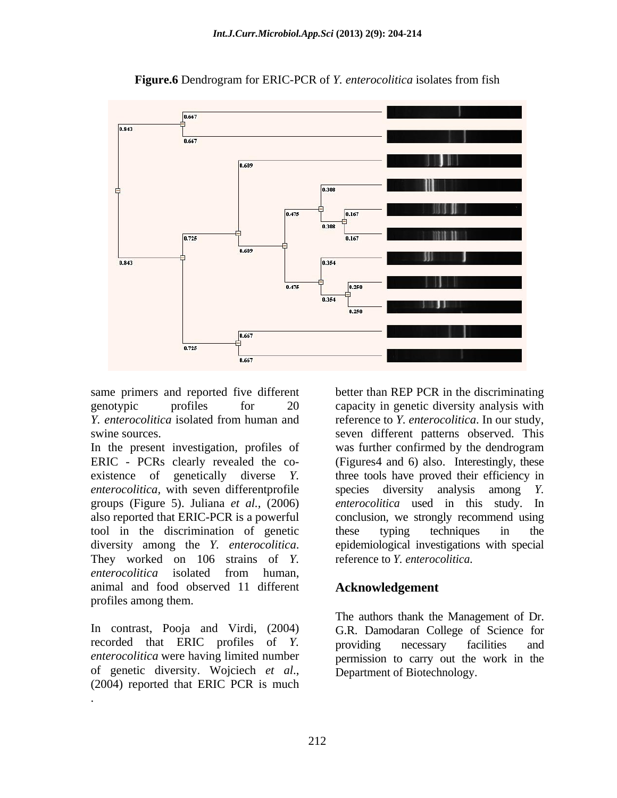

**Figure.6** Dendrogram for ERIC-PCR of *Y. enterocolitica* isolates from fish

ERIC - PCRs clearly revealed the co- (Figures4 and 6) also. Interestingly, these existence of genetically diverse *Y*. three tools have proved their efficiency in *enterocolitica*, with seven differentprofile species diversity analysis among Y. groups (Figure 5). Juliana *et al.,* (2006) also reported that ERIC-PCR is a powerful conclusion, we strongly recommend using tool in the discrimination of genetic diversity among the *Y. enterocolitica*. epidemiological investigations with special They worked on 106 strains of *Y.* reference to *Y. enterocolitica*. *enterocolitica* isolated from human, animal and food observed 11 different profiles among them.

*enterocolitica* were having limited number of genetic diversity. Wojciech *et al*., (2004) reported that ERIC PCR is much

.

same primers and reported five different better than REP PCR in the discriminating genotypic profiles for 20 capacity in genetic diversity analysis with *Y. enterocolitica* isolated from human and swine sources.<br>In the present investigation, profiles of was further confirmed by the dendrogram reference to *Y. enterocolitica*. In our study, seven different patterns observed. This was further confirmed by the dendrogram species diversity analysis among *Y. enterocolitica* used in this study. In these typing techniques in the epidemiological investigations with special reference to *Y. enterocolitica*.

## **Acknowledgement**

In contrast, Pooja and Virdi, (2004) G.R. Damodaran College of Science for recorded that ERIC profiles of *Y.*  The authors thank the Management of Dr. providing necessary facilities and permission to carry out the work in the Department of Biotechnology.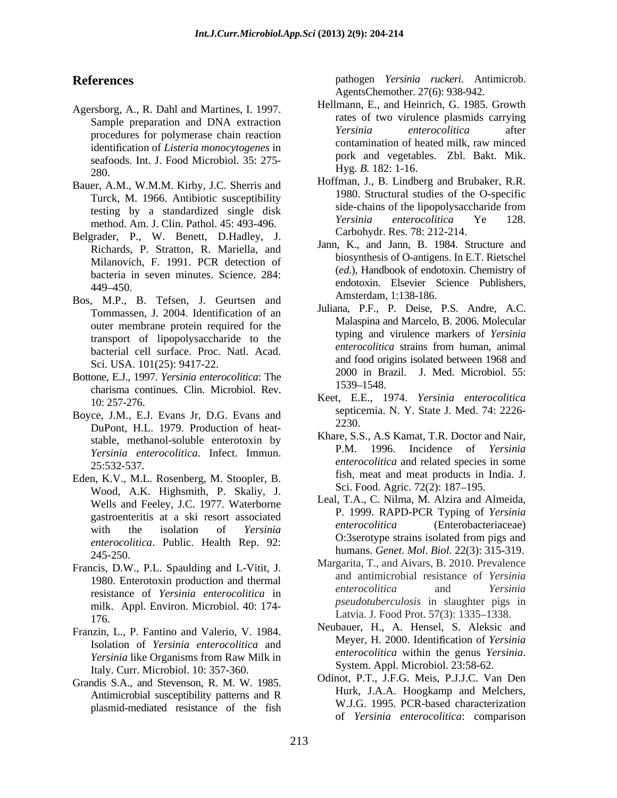- Agersborg, A., R. Dahl and Martines, I. 1997. identification of *Listeria monocytogenes* in seafoods. Int. J. Food Microbiol. 35: 275-  $\frac{Hyg. D. 102. 1-10.}{LJ.S. 102. 1-10.}$
- Bauer, A.M., W.M.M. Kirby, J.C. Sherris and method. Am. J. Clin. Pathol. 45: 493-496.
- Belgrader, P., W. Benett, D.Hadley, J. Richards, P. Stratton, R. Mariella, and Milanovich, F. 1991. PCR detection of bacteria in seven minutes. Science. 284:
- Bos, M.P., B. Tefsen, J. Geurtsen and Tommassen, J. 2004. Identification of an outer membrane protein required for the bacterial cell surface. Proc. Natl. Acad. Sci. USA. 101(25): 9417-22.
- Bottone, E.J., 1997. *Yersinia enterocolitica*: The charisma continues. Clin. Microbiol. Rev.
- Boyce, J.M., E.J. Evans Jr, D.G. Evans and  $\frac{\text{sepic}}{2230}$ DuPont, H.L. 1979. Production of heat- *Yersinia enterocolitica*. Infect. Immun.
- Eden, K.V., M.L. Rosenberg, M. Stoopler, B. Wood, A.K. Highsmith, P. Skaliy, J. Wells and Feeley, J.C. 1977. Waterborne gastroenteritis at a ski resort associated<br>with the inclusion of Vancinia enterocolitica humans. *Genet. Mol. Biol.* 22(3): 315-319.<br>245-250.
- Francis, D.W., P.L. Spaulding and L-Vitit, J. resistance of *Yersinia enterocolitica* in milk. Appl. Environ. Microbiol. 40: 174- Latvia. J. Food Prot. 57(3): 1335–1338.<br>176.
- Franzin, L., P. Fantino and Valerio, V. 1984. *Yersinia* like Organisms from Raw Milk in *Penerocounca* within the genus *Ye*<br>Italy Curr Microbiol 10: 357, 360<br>System. Appl. Microbiol. 23:58-62. Italy. Curr. Microbiol. 10: 357-360.
- Grandis S.A., and Stevenson, R. M. W. 1985. Antimicrobial susceptibility patterns and R plasmid-mediated resistance of the fish

**References** pathogen *Yersinia ruckeri.* Antimicrob. AgentsChemother. 27(6): 938-942.

- Sample preparation and DNA extraction and  $\frac{1}{N}$  are solution and  $\frac{1}{N}$  are solution and  $\frac{1}{N}$  are solution and  $\frac{1}{N}$  are solution and  $\frac{1}{N}$  are solution and  $\frac{1}{N}$  are solution and  $\frac{1}{N}$  are solu procedures for polymerase chain reaction *Yersinia enterocolitica* after Hellmann, E., and Heinrich, G. 1985. Growth rates of two virulence plasmids carrying *Yersinia enterocolitica* after contamination of heated milk, raw minced pork and vegetables. Zbl. Bakt. Mik. Hyg. *B.* 182: 1-16.
- Turck, M. 1966. Antibiotic susceptibility<br>testing by a standardized single dialy side-chains of the lipopolysaccharide from testing by a standardized single disk<br>method Am I Clin Pethol 45:403,406<br>Fersinia enterocolitica Ye 128. Hoffman, J., B. Lindberg and Brubaker, R.R. 1980. Structural studies of the O-specific side-chains of the lipopolysaccharide from *Yersinia enterocolitica* Ye 128. Carbohydr. Res. 78: 212-214.
- endoloxin. Elsevier Science Publishers,<br> $449-450$ . Jann, K., and Jann, B. 1984. Structure and biosynthesis of O-antigens. In E.T. Rietschel (*ed*.), Handbook of endotoxin. Chemistry of endotoxin. Elsevier Science Publishers, Amsterdam, 1:138-186.
- transport of lipopolysaccharide to the typing and virtuence markers of *rersinia*<br>hasterial call surface. Proc. Not Aced *enterocolitica* strains from human, animal Juliana, P.F., P. Deise, P.S. Andre, A.C. Malaspina and Marcelo, B. 2006. Molecular typing and virulence markers of *Yersinia enterocolitica* strains from human, animal and food origins isolated between 1968 and 2000 in Brazil. J. Med. Microbiol. 55: 1539 1548.
- 10: 257-276. Keet, E.E., 1974. *Yersinia enterocolitica* septicemia. N. Y. State J. Med. 74: 2226- 2230.
- stable, methanol-soluble enterotoxin by<br>
E.M. 1996. Incidence of *Yersinia*<br>
E.M. 1996. Incidence of *Yersinia* 25:532-537. *enterocolitica* and related species in some Khare, S.S., A.S Kamat, T.R. Doctor and Nair, P.M. 1996. Incidence of *Yersinia* fish, meat and meat products in India. J. Sci. Food. Agric. 72(2): 187-195.
- with the isolation of *Yersinia* enterocounce (Enteroprocessum enterocounce *enterocolitica*. Public. Health Rep. 92: 0:3serotype strains isolated from pigs and Leal, T.A., C. Nilma, M. Alzira and Almeida, P. 1999. RAPD-PCR Typing of *Yersinia enterocolitica* (Enterobacteriaceae) O:3serotype strains isolated from pigs and
- 1980. Enterotoxin production and thermal and anumeropial resistance of *Iersinia*<br>enterocolitica and *Yersinia* Margarita, T., and Aivars, B. 2010. Prevalence and antimicrobial resistance of *Yersinia enterocolitica* and *Yersinia pseudotuberculosis* in slaughter pigs in
- Isolation of *Yersinia enterocolitica* and<br>*Versinia* like Organisms from Paw Milk in *enterocolitica* within the genus *Yersinia*. Neubauer, H., A. Hensel, S. Aleksic and Meyer, H. 2000. Identification of *Yersinia enterocolitica* within the genus *Yersinia*. System. Appl. Microbiol. 23:58-62.
	- Odinot, P.T., J.F.G. Meis, P.J.J.C. Van Den Hurk, J.A.A. Hoogkamp and Melchers, W.J.G. 1995. PCR-based characterization of *Yersinia enterocolitica*: comparison